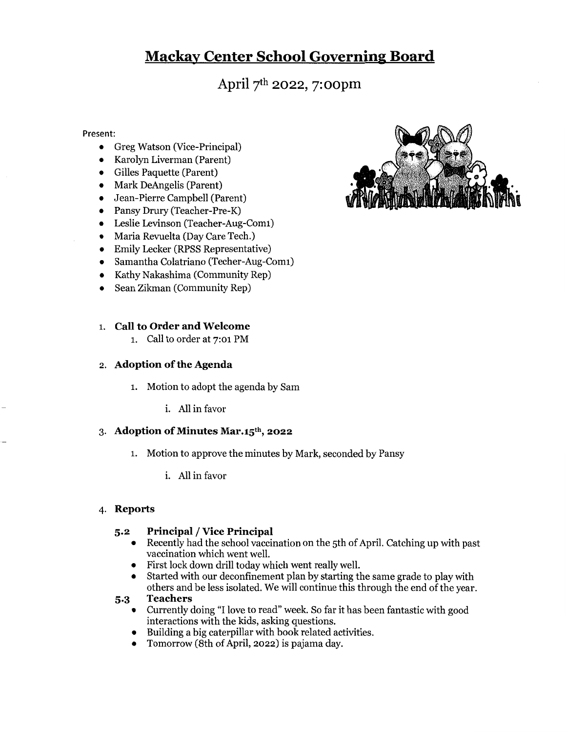# Mackav Center School Governine Board

April 7th 2022, 7: oopm

#### Present:

- Greg Watson (Vice-Principal)
- Karolyn Liverman (Parent)
- Gilles Paquette (Parent)
- Mark DeAngelis (Parent)
- Jean-Pierre Campbell (Parent)
- Pansy Drury (Teacher-Pre-K)
- Leslie Levinson (Teacher-Aug-Comi)
- Maria Revuelta (Day Care Tech.)
- Emily Lecker (RPSS Representative)
- Samantha Colatriano (Techer-Aug-Comi)
- Kathy Nakashima (Community Rep)
- Sean Zikman (Community Rep)

#### 1. Call to Order and Welcome

i. Call to order at 7:01 PM

#### 2. Adoption of the Agenda

- l. Motion to adopt the agenda by Sam
	- i. All in favor

#### 3. Adoption of Minutes Mar. $15<sup>th</sup>$ , 2022

- l. Motion to approve the minutes by Mark, seconded by Pansy
	- i. All in favor

#### 4. Reports

# 5.2 Principal / Vice Principal<br>Recently had the school vaccin

- Recently had the school vaccination on the 5th of April. Catching up with past vaccination which went well.
- First lock down drill today which went really well.
- Started with our deconfinement plan by starting the same grade to play with others and be less isolated. We will continue this through the end of the year.

#### 5.3 Teachers

- Currently doing "I love to read" week. So far it has been fantastic with good interactions with the kids, asking questions.
- Building <sup>a</sup> big caterpillar with book related activities.
- Tomorrow (8th of April, 2022) is pajama day.

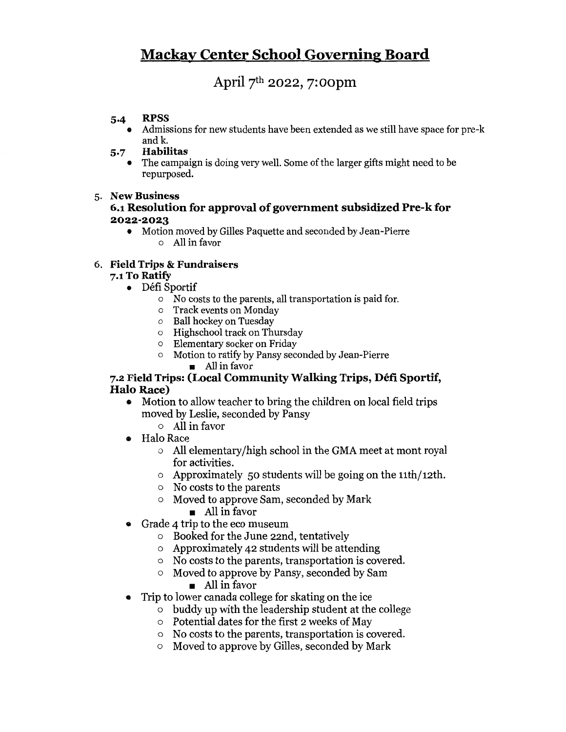# Mackav Center School Governine Board

# April 7th 2022, 7:oopm

### 5.4 RPSS

- Admissions for new students have been extended as we still have space for pre-k and k.
- 5.7 Habilitas
	- The campaign is doing very well. Some of the larger gifts might need to be repurposed.

## 5. New Business

## 6.1 Resolution for approval of government subsidized Pre-k for 2022-2023

• Motion moved by Gilles Paquette and seconded by Jean-Pierre o All in favor

# 6. Field Trips & Fundraisers

# 7.1 To Ratify

- DéfiSportif
	- <sup>o</sup> No costs to the parents, all transportation is paid for.
	- o Track events on Monday
	- o Ball hockey on Tuesday
	- o Highschool track on Thursday
	- o Elementary socker on Friday
	- o Motion to ratify by Pansy seconded by Jean-Pierre
		- **a** All in favor

## 7.2 Field Trips: (Local Community Walking Trips, Defi Sportif, Halo Race)

- Motion to allow teacher to bring the children on local field trips moved by Leslie, seconded by Pansy
	- o All in favor
- Halo Race
	- o All elementary/high school in the GMA meet at mont royal for activities.
	- o Approximately 50 students will be going on the  $11$ th/ $12$ th.
	- <sup>o</sup> No costs to the parents
	- o Moved to approve Sam, seconded by Mark
		- All in favor
- Grade <sup>4</sup> trip to the eco museum
	- o Booked for the June 22nd, tentatively
	- <sup>o</sup> Approximately 42 students will be attending
	- <sup>o</sup> No costs to the parents, transportation is covered.
	- o Moved to approve by Pansy, seconded by Sam
		- $\blacksquare$  All in favor
- ® Trip to lower canada college for skating on the ice
	- o buddy up with the leadership student at the college
	- o Potential dates for the first 2 weeks of May
	- <sup>o</sup> No costs to the parents, transportation is covered.
	- o Moved to approve by Gilles, seconded by Mark